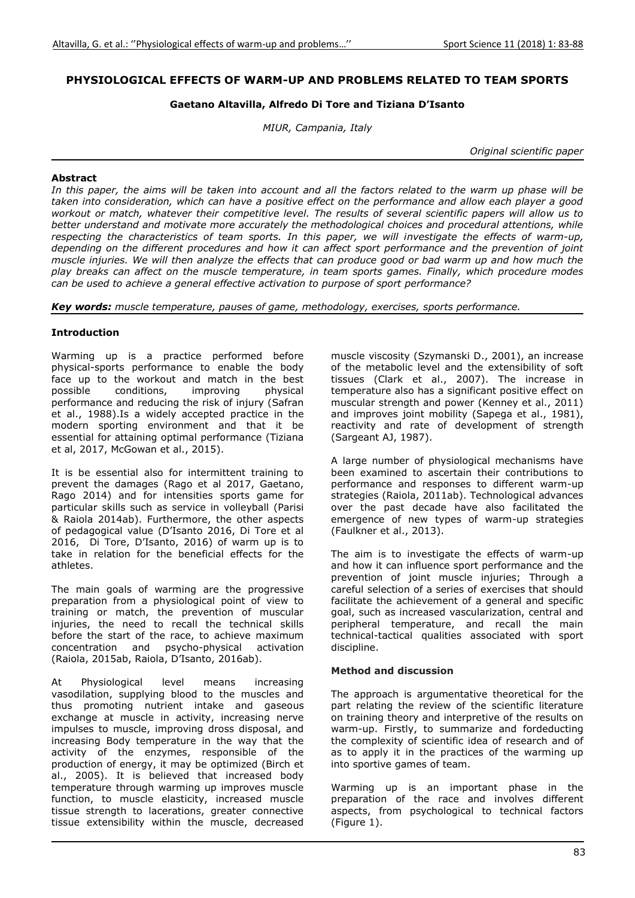# **PHYSIOLOGICAL EFFECTS OF WARM-UP AND PROBLEMS RELATED TO TEAM SPORTS**

### **Gaetano Altavilla, Alfredo Di Tore and Tiziana D'Isanto**

*MIUR, Campania, Italy* 

*Original scientific paper* 

### **Abstract**

In this paper, the aims will be taken into account and all the factors related to the warm up phase will be *taken into consideration, which can have a positive effect on the performance and allow each player a good workout or match, whatever their competitive level. The results of several scientific papers will allow us to better understand and motivate more accurately the methodological choices and procedural attentions, while respecting the characteristics of team sports. In this paper, we will investigate the effects of warm-up, depending on the different procedures and how it can affect sport performance and the prevention of joint muscle injuries. We will then analyze the effects that can produce good or bad warm up and how much the play breaks can affect on the muscle temperature, in team sports games. Finally, which procedure modes can be used to achieve a general effective activation to purpose of sport performance?* 

*Key words: muscle temperature, pauses of game, methodology, exercises, sports performance.* 

#### **Introduction**

Warming up is a practice performed before physical-sports performance to enable the body face up to the workout and match in the best<br>possible conditions, improving physical conditions, improving performance and reducing the risk of injury (Safran et al., 1988).Is a widely accepted practice in the modern sporting environment and that it be essential for attaining optimal performance (Tiziana et al, 2017, McGowan et al., 2015).

It is be essential also for intermittent training to prevent the damages (Rago et al 2017, Gaetano, Rago 2014) and for intensities sports game for particular skills such as service in volleyball (Parisi & Raiola 2014ab). Furthermore, the other aspects of pedagogical value (D'Isanto 2016, Di Tore et al 2016, Di Tore, D'Isanto, 2016) of warm up is to take in relation for the beneficial effects for the athletes.

The main goals of warming are the progressive preparation from a physiological point of view to training or match, the prevention of muscular injuries, the need to recall the technical skills before the start of the race, to achieve maximum concentration and psycho-physical activation (Raiola, 2015ab, Raiola, D'Isanto, 2016ab).

At Physiological level means increasing vasodilation, supplying blood to the muscles and thus promoting nutrient intake and gaseous exchange at muscle in activity, increasing nerve impulses to muscle, improving dross disposal, and increasing Body temperature in the way that the activity of the enzymes, responsible of the production of energy, it may be optimized (Birch et al., 2005). It is believed that increased body temperature through warming up improves muscle function, to muscle elasticity, increased muscle tissue strength to lacerations, greater connective tissue extensibility within the muscle, decreased muscle viscosity (Szymanski D., 2001), an increase of the metabolic level and the extensibility of soft tissues (Clark et al., 2007). The increase in temperature also has a significant positive effect on muscular strength and power (Kenney et al., 2011) and improves joint mobility (Sapega et al., 1981), reactivity and rate of development of strength (Sargeant AJ, 1987).

A large number of physiological mechanisms have been examined to ascertain their contributions to performance and responses to different warm-up strategies (Raiola, 2011ab). Technological advances over the past decade have also facilitated the emergence of new types of warm-up strategies (Faulkner et al., 2013).

The aim is to investigate the effects of warm-up and how it can influence sport performance and the prevention of joint muscle injuries; Through a careful selection of a series of exercises that should facilitate the achievement of a general and specific goal, such as increased vascularization, central and peripheral temperature, and recall the main technical-tactical qualities associated with sport discipline.

#### **Method and discussion**

The approach is argumentative theoretical for the part relating the review of the scientific literature on training theory and interpretive of the results on warm-up. Firstly, to summarize and fordeducting the complexity of scientific idea of research and of as to apply it in the practices of the warming up into sportive games of team.

Warming up is an important phase in the preparation of the race and involves different aspects, from psychological to technical factors (Figure 1).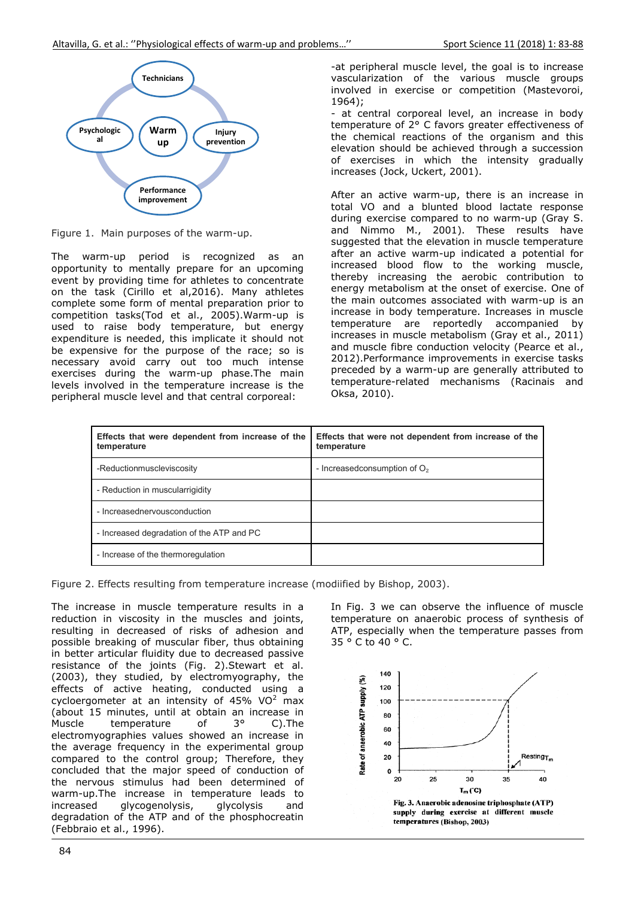

Figure 1. Main purposes of the warm-up.

The warm-up period is recognized as an opportunity to mentally prepare for an upcoming event by providing time for athletes to concentrate on the task (Cirillo et al,2016). Many athletes complete some form of mental preparation prior to competition tasks(Tod et al., 2005).Warm-up is used to raise body temperature, but energy expenditure is needed, this implicate it should not be expensive for the purpose of the race; so is necessary avoid carry out too much intense exercises during the warm-up phase.The main levels involved in the temperature increase is the peripheral muscle level and that central corporeal:

-at peripheral muscle level, the goal is to increase vascularization of the various muscle groups involved in exercise or competition (Mastevoroi, 1964);

- at central corporeal level, an increase in body temperature of 2° C favors greater effectiveness of the chemical reactions of the organism and this elevation should be achieved through a succession of exercises in which the intensity gradually increases (Jock, Uckert, 2001).

After an active warm-up, there is an increase in total VO and a blunted blood lactate response during exercise compared to no warm-up (Gray S. and Nimmo M., 2001). These results have suggested that the elevation in muscle temperature after an active warm-up indicated a potential for increased blood flow to the working muscle, thereby increasing the aerobic contribution to energy metabolism at the onset of exercise. One of the main outcomes associated with warm-up is an increase in body temperature. Increases in muscle temperature are reportedly accompanied by increases in muscle metabolism (Gray et al., 2011) and muscle fibre conduction velocity (Pearce et al., 2012).Performance improvements in exercise tasks preceded by a warm-up are generally attributed to temperature-related mechanisms (Racinais and Oksa, 2010).

| Effects that were dependent from increase of the<br>temperature | Effects that were not dependent from increase of the<br>temperature |
|-----------------------------------------------------------------|---------------------------------------------------------------------|
| -Reductionmuscleviscosity                                       | - Increased consumption of $O2$                                     |
| - Reduction in muscularrigidity                                 |                                                                     |
| - Increasednervousconduction                                    |                                                                     |
| - Increased degradation of the ATP and PC                       |                                                                     |
| - Increase of the thermoregulation                              |                                                                     |

Figure 2. Effects resulting from temperature increase (modiified by Bishop, 2003).

The increase in muscle temperature results in a reduction in viscosity in the muscles and joints, resulting in decreased of risks of adhesion and possible breaking of muscular fiber, thus obtaining in better articular fluidity due to decreased passive resistance of the joints (Fig. 2).Stewart et al. (2003), they studied, by electromyography, the effects of active heating, conducted using a cycloergometer at an intensity of 45% VO<sup>2</sup> max (about 15 minutes, until at obtain an increase in Muscle temperature of 3° C).The electromyographies values showed an increase in the average frequency in the experimental group compared to the control group; Therefore, they concluded that the major speed of conduction of the nervous stimulus had been determined of warm-up.The increase in temperature leads to increased glycogenolysis, glycolysis and degradation of the ATP and of the phosphocreatin (Febbraio et al., 1996).

In Fig. 3 we can observe the influence of muscle temperature on anaerobic process of synthesis of ATP, especially when the temperature passes from 35 ° C to 40 ° C.

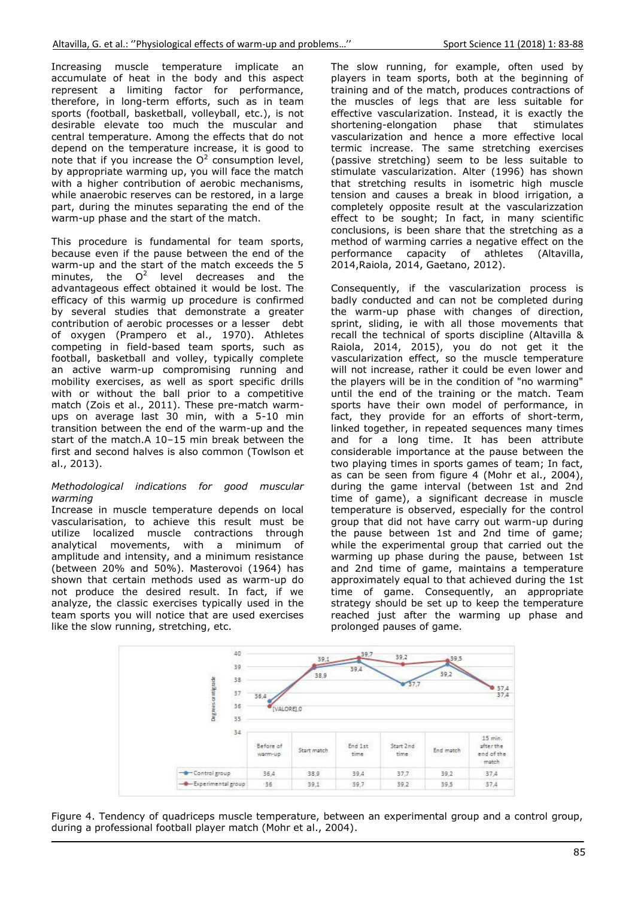Increasing muscle temperature implicate an accumulate of heat in the body and this aspect represent a limiting factor for performance, therefore, in long-term efforts, such as in team sports (football, basketball, volleyball, etc.), is not desirable elevate too much the muscular and central temperature. Among the effects that do not depend on the temperature increase, it is good to note that if you increase the  $O^2$  consumption level, by appropriate warming up, you will face the match with a higher contribution of aerobic mechanisms, while anaerobic reserves can be restored, in a large part, during the minutes separating the end of the warm-up phase and the start of the match.

This procedure is fundamental for team sports, because even if the pause between the end of the warm-up and the start of the match exceeds the 5 minutes, the  $O^2$  level decreases and the advantageous effect obtained it would be lost. The efficacy of this warmig up procedure is confirmed by several studies that demonstrate a greater contribution of aerobic processes or a lesser debt of oxygen (Prampero et al., 1970). Athletes competing in field-based team sports, such as football, basketball and volley, typically complete an active warm-up compromising running and mobility exercises, as well as sport specific drills with or without the ball prior to a competitive match (Zois et al., 2011). These pre-match warmups on average last 30 min, with a 5-10 min transition between the end of the warm-up and the start of the match.A 10–15 min break between the first and second halves is also common (Towlson et al., 2013).

# *Methodological indications for good muscular warming*

Increase in muscle temperature depends on local vascularisation, to achieve this result must be utilize localized muscle contractions through analytical movements, with a minimum of amplitude and intensity, and a minimum resistance (between 20% and 50%). Masterovoi (1964) has shown that certain methods used as warm-up do not produce the desired result. In fact, if we analyze, the classic exercises typically used in the team sports you will notice that are used exercises like the slow running, stretching, etc.

The slow running, for example, often used by players in team sports, both at the beginning of training and of the match, produces contractions of the muscles of legs that are less suitable for effective vascularization. Instead, it is exactly the shortening-elongation phase that stimulates vascularization and hence a more effective local termic increase. The same stretching exercises (passive stretching) seem to be less suitable to stimulate vascularization. Alter (1996) has shown that stretching results in isometric high muscle tension and causes a break in blood irrigation, a completely opposite result at the vascularizzation effect to be sought; In fact, in many scientific conclusions, is been share that the stretching as a method of warming carries a negative effect on the performance capacity of athletes (Altavilla, 2014,Raiola, 2014, Gaetano, 2012).

Consequently, if the vascularization process is badly conducted and can not be completed during the warm-up phase with changes of direction, sprint, sliding, ie with all those movements that recall the technical of sports discipline (Altavilla & Raiola, 2014, 2015), you do not get it the vascularization effect, so the muscle temperature will not increase, rather it could be even lower and the players will be in the condition of "no warming" until the end of the training or the match. Team sports have their own model of performance, in fact, they provide for an efforts of short-term, linked together, in repeated sequences many times and for a long time. It has been attribute considerable importance at the pause between the two playing times in sports games of team; In fact, as can be seen from figure 4 (Mohr et al., 2004), during the game interval (between 1st and 2nd time of game), a significant decrease in muscle temperature is observed, especially for the control group that did not have carry out warm-up during the pause between 1st and 2nd time of game; while the experimental group that carried out the warming up phase during the pause, between 1st and 2nd time of game, maintains a temperature approximately equal to that achieved during the 1st time of game. Consequently, an appropriate strategy should be set up to keep the temperature reached just after the warming up phase and prolonged pauses of game.



Figure 4. Tendency of quadriceps muscle temperature, between an experimental group and a control group, during a professional football player match (Mohr et al., 2004).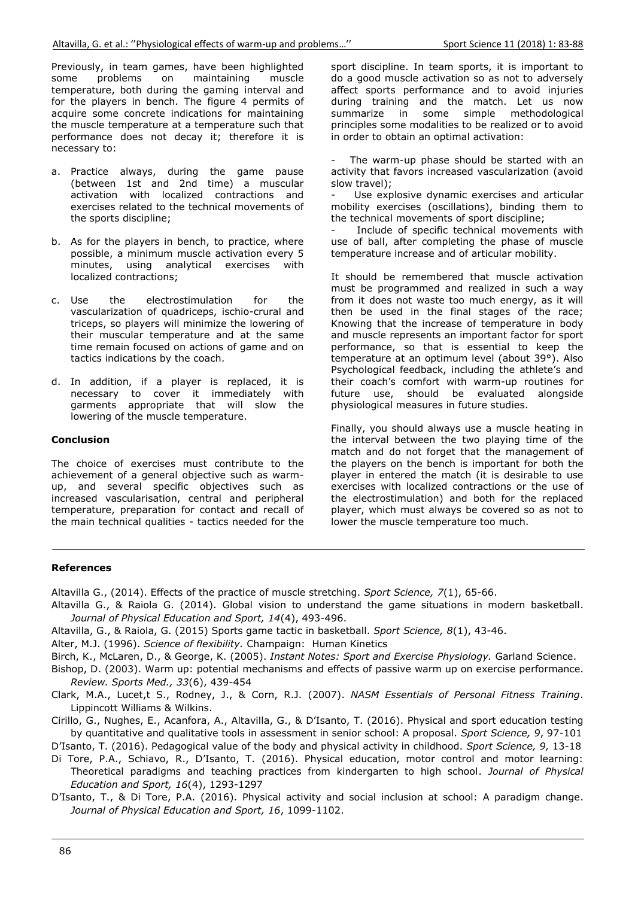Previously, in team games, have been highlighted some problems on maintaining muscle temperature, both during the gaming interval and for the players in bench. The figure 4 permits of acquire some concrete indications for maintaining the muscle temperature at a temperature such that performance does not decay it: therefore it is necessary to:

- a. Practice always, during the game pause (between 1st and 2nd time) a muscular activation with localized contractions and exercises related to the technical movements of the sports discipline:
- b. As for the players in bench, to practice, where possible, a minimum muscle activation every 5 minutes, using analytical exercises with localized contractions:
- electrostimulation c. Use the for the vascularization of quadriceps, ischio-crural and triceps, so players will minimize the lowering of their muscular temperature and at the same time remain focused on actions of game and on tactics indications by the coach.
- d. In addition, if a player is replaced, it is necessary to cover it immediately with<br>garments appropriate that will slow the lowering of the muscle temperature.

# **Conclusion**

The choice of exercises must contribute to the achievement of a general objective such as warmup, and several specific objectives such as increased vascularisation, central and peripheral temperature, preparation for contact and recall of the main technical qualities - tactics needed for the sport discipline. In team sports, it is important to do a good muscle activation so as not to adversely affect sports performance and to avoid injuries during training and the match. Let us now summarize in some simple methodological principles some modalities to be realized or to avoid in order to obtain an optimal activation:

The warm-up phase should be started with an activity that favors increased vascularization (avoid slow travel);

Use explosive dynamic exercises and articular mobility exercises (oscillations), binding them to the technical movements of sport discipline:

Include of specific technical movements with use of ball, after completing the phase of muscle temperature increase and of articular mobility.

It should be remembered that muscle activation must be programmed and realized in such a way from it does not waste too much energy, as it will then be used in the final stages of the race; Knowing that the increase of temperature in body and muscle represents an important factor for sport performance, so that is essential to keep the temperature at an optimum level (about 39°). Also Psychological feedback, including the athlete's and their coach's comfort with warm-up routines for future use, should be evaluated alongside physiological measures in future studies.

Finally, you should always use a muscle heating in the interval between the two playing time of the match and do not forget that the management of the players on the bench is important for both the player in entered the match (it is desirable to use exercises with localized contractions or the use of the electrostimulation) and both for the replaced player, which must always be covered so as not to lower the muscle temperature too much.

### **References**

Altavilla G., (2014). Effects of the practice of muscle stretching. Sport Science, 7(1), 65-66.

- Altavilla G., & Raiola G. (2014). Global vision to understand the game situations in modern basketball. Journal of Physical Education and Sport, 14(4), 493-496.
- Altavilla, G., & Raiola, G. (2015) Sports game tactic in basketball. Sport Science, 8(1), 43-46.

Alter, M.J. (1996). Science of flexibility, Champaign: Human Kinetics

Birch, K., McLaren, D., & George, K. (2005). Instant Notes: Sport and Exercise Physiology. Garland Science.

Bishop, D. (2003). Warm up: potential mechanisms and effects of passive warm up on exercise performance. Review. Sports Med., 33(6), 439-454

Clark, M.A., Lucet,t S., Rodney, J., & Corn, R.J. (2007). NASM Essentials of Personal Fitness Training. Lippincott Williams & Wilkins.

Cirillo, G., Nughes, E., Acanfora, A., Altavilla, G., & D'Isanto, T. (2016). Physical and sport education testing by quantitative and qualitative tools in assessment in senior school: A proposal. Sport Science, 9, 97-101

D'Isanto, T. (2016). Pedagogical value of the body and physical activity in childhood. Sport Science, 9, 13-18

Di Tore, P.A., Schiavo, R., D'Isanto, T. (2016). Physical education, motor control and motor learning: Theoretical paradigms and teaching practices from kindergarten to high school. Journal of Physical Education and Sport, 16(4), 1293-1297

D'Isanto, T., & Di Tore, P.A. (2016). Physical activity and social inclusion at school: A paradigm change. Journal of Physical Education and Sport, 16, 1099-1102.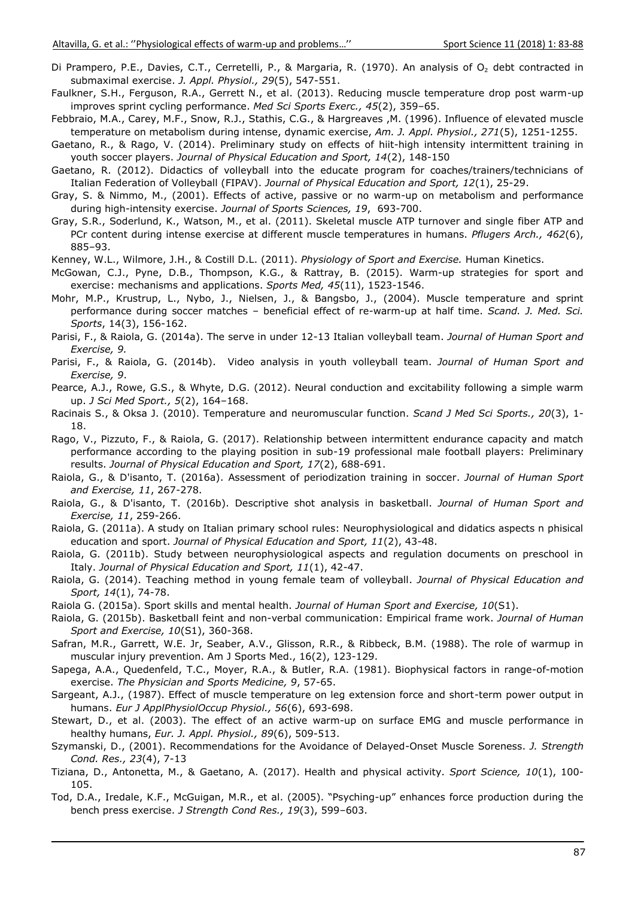- Di Prampero, P.E., Davies, C.T., Cerretelli, P., & Margaria, R. (1970). An analysis of O<sub>2</sub> debt contracted in submaximal exercise. J. Appl. Physiol., 29(5), 547-551.
- Faulkner, S.H., Ferguson, R.A., Gerrett N., et al. (2013). Reducing muscle temperature drop post warm-up improves sprint cycling performance. Med Sci Sports Exerc., 45(2), 359-65.
- Febbraio, M.A., Carey, M.F., Snow, R.J., Stathis, C.G., & Hargreaves , M. (1996). Influence of elevated muscle temperature on metabolism during intense, dynamic exercise, Am. J. Appl. Physiol., 271(5), 1251-1255.
- Gaetano, R., & Rago, V. (2014). Preliminary study on effects of hiit-high intensity intermittent training in youth soccer players. Journal of Physical Education and Sport, 14(2), 148-150
- Gaetano, R. (2012). Didactics of volleyball into the educate program for coaches/trainers/technicians of Italian Federation of Volleyball (FIPAV). Journal of Physical Education and Sport, 12(1), 25-29.
- Gray, S. & Nimmo, M., (2001). Effects of active, passive or no warm-up on metabolism and performance during high-intensity exercise. Journal of Sports Sciences, 19, 693-700.
- Gray, S.R., Soderlund, K., Watson, M., et al. (2011). Skeletal muscle ATP turnover and single fiber ATP and PCr content during intense exercise at different muscle temperatures in humans. Pflugers Arch., 462(6),  $885 - 93.$

Kenney, W.L., Wilmore, J.H., & Costill D.L. (2011). Physiology of Sport and Exercise. Human Kinetics.

- McGowan, C.J., Pyne, D.B., Thompson, K.G., & Rattray, B. (2015). Warm-up strategies for sport and exercise: mechanisms and applications. Sports Med, 45(11), 1523-1546.
- Mohr, M.P., Krustrup, L., Nybo, J., Nielsen, J., & Bangsbo, J., (2004). Muscle temperature and sprint performance during soccer matches - beneficial effect of re-warm-up at half time. Scand. J. Med. Sci. Sports, 14(3), 156-162.
- Parisi, F., & Raiola, G. (2014a). The serve in under 12-13 Italian volleyball team. Journal of Human Sport and Exercise, 9.
- Parisi, F., & Raiola, G. (2014b). Video analysis in youth volleyball team. Journal of Human Sport and Exercise, 9.
- Pearce, A.J., Rowe, G.S., & Whyte, D.G. (2012). Neural conduction and excitability following a simple warm up. J Sci Med Sport., 5(2), 164-168.
- Racinais S., & Oksa J. (2010). Temperature and neuromuscular function. Scand J Med Sci Sports., 20(3), 1-18.
- Rago, V., Pizzuto, F., & Rajola, G. (2017). Relationship between intermittent endurance capacity and match performance according to the playing position in sub-19 professional male football players: Preliminary results. Journal of Physical Education and Sport, 17(2), 688-691.
- Raiola, G., & D'isanto, T. (2016a). Assessment of periodization training in soccer. Journal of Human Sport and Exercise, 11, 267-278.
- Raiola, G., & D'isanto, T. (2016b). Descriptive shot analysis in basketball. Journal of Human Sport and Exercise, 11, 259-266.
- Raiola, G. (2011a). A study on Italian primary school rules: Neurophysiological and didatics aspects n phisical education and sport. Journal of Physical Education and Sport, 11(2), 43-48.
- Raiola, G. (2011b). Study between neurophysiological aspects and regulation documents on preschool in Italy. Journal of Physical Education and Sport, 11(1), 42-47.
- Raiola, G. (2014). Teaching method in young female team of volleyball. Journal of Physical Education and Sport, 14(1), 74-78.
- Raiola G. (2015a). Sport skills and mental health. Journal of Human Sport and Exercise, 10(S1).
- Raiola, G. (2015b). Basketball feint and non-verbal communication: Empirical frame work. Journal of Human Sport and Exercise, 10(S1), 360-368.
- Safran, M.R., Garrett, W.E. Jr, Seaber, A.V., Glisson, R.R., & Ribbeck, B.M. (1988). The role of warmup in muscular injury prevention. Am J Sports Med., 16(2), 123-129.
- Sapega, A.A., Quedenfeld, T.C., Moyer, R.A., & Butler, R.A. (1981). Biophysical factors in range-of-motion exercise. The Physician and Sports Medicine, 9, 57-65.
- Sargeant, A.J., (1987). Effect of muscle temperature on leg extension force and short-term power output in humans. Eur J ApplPhysiolOccup Physiol., 56(6), 693-698.
- Stewart, D., et al. (2003). The effect of an active warm-up on surface EMG and muscle performance in healthy humans, Eur. J. Appl. Physiol., 89(6), 509-513.
- Szymanski, D., (2001). Recommendations for the Avoidance of Delayed-Onset Muscle Soreness. J. Strength Cond. Res., 23(4), 7-13
- Tiziana, D., Antonetta, M., & Gaetano, A. (2017). Health and physical activity. Sport Science, 10(1), 100-105.
- Tod, D.A., Iredale, K.F., McGuigan, M.R., et al. (2005). "Psyching-up" enhances force production during the bench press exercise. J Strength Cond Res., 19(3), 599-603.